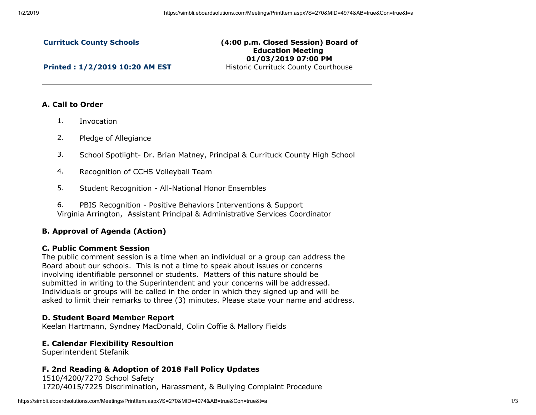#### **Currituck County Schools**

#### **(4:00 p.m. Closed Session) Board of Education Meeting 01/03/2019 07:00 PM** Historic Currituck County Courthouse

**Printed : 1/2/2019 10:20 AM EST**

## **A. Call to Order**

- 1. Invocation
- 2. Pledge of Allegiance
- 3. School Spotlight- Dr. Brian Matney, Principal & Currituck County High School
- 4. Recognition of CCHS Volleyball Team
- 5. Student Recognition All-National Honor Ensembles
- 6. PBIS Recognition Positive Behaviors Interventions & Support Virginia Arrington, Assistant Principal & Administrative Services Coordinator

# **B. Approval of Agenda (Action)**

## **C. Public Comment Session**

The public comment session is a time when an individual or a group can address the Board about our schools. This is not a time to speak about issues or concerns involving identifiable personnel or students. Matters of this nature should be submitted in writing to the Superintendent and your concerns will be addressed. Individuals or groups will be called in the order in which they signed up and will be asked to limit their remarks to three (3) minutes. Please state your name and address.

## **D. Student Board Member Report**

Keelan Hartmann, Syndney MacDonald, Colin Coffie & Mallory Fields

#### **E. Calendar Flexibility Resoultion**

Superintendent Stefanik

## **F. 2nd Reading & Adoption of 2018 Fall Policy Updates**

1510/4200/7270 School Safety 1720/4015/7225 Discrimination, Harassment, & Bullying Complaint Procedure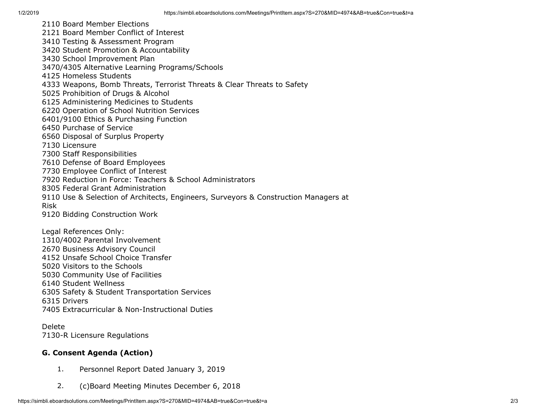2110 Board Member Elections 2121 Board Member Conflict of Interest 3410 Testing & Assessment Program 3420 Student Promotion & Accountability 3430 School Improvement Plan 3470/4305 Alternative Learning Programs/Schools 4125 Homeless Students 4333 Weapons, Bomb Threats, Terrorist Threats & Clear Threats to Safety 5025 Prohibition of Drugs & Alcohol 6125 Administering Medicines to Students 6220 Operation of School Nutrition Services 6401/9100 Ethics & Purchasing Function 6450 Purchase of Service 6560 Disposal of Surplus Property 7130 Licensure 7300 Staff Responsibilities 7610 Defense of Board Employees 7730 Employee Conflict of Interest 7920 Reduction in Force: Teachers & School Administrators 8305 Federal Grant Administration 9110 Use & Selection of Architects, Engineers, Surveyors & Construction Managers at Risk 9120 Bidding Construction Work Legal References Only: 1310/4002 Parental Involvement 2670 Business Advisory Council 4152 Unsafe School Choice Transfer

5020 Visitors to the Schools 5030 Community Use of Facilities

6140 Student Wellness

6305 Safety & Student Transportation Services

6315 Drivers

7405 Extracurricular & Non-Instructional Duties

Delete 7130-R Licensure Regulations

# **G. Consent Agenda (Action)**

- 1. Personnel Report Dated January 3, 2019
- 2. (c)Board Meeting Minutes December 6, 2018